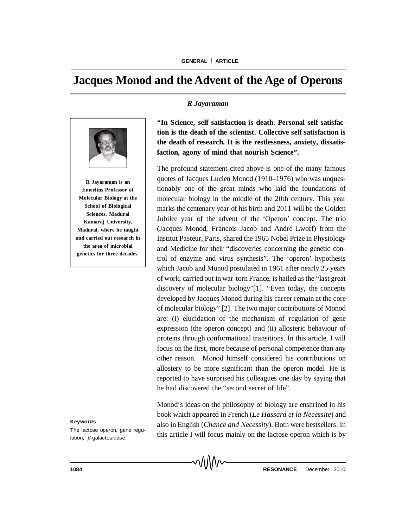# **Jacques Monod and the Advent of the Age of Operons**

*R Jayaraman*



**R Jayaraman is an Emeritus Professor of Molecular Biology at the School of Biological Sciences, Madurai Kamaraj University, Madurai, where he taught and carried out research in the area of microbial genetics for three decades.**

#### **Keywords**

The lactose operon, gene regulation,  $\beta$ -galactosidase.

**"In Science, self satisfaction is death. Personal self satisfaction is the death of the scientist. Collective self satisfaction is the death of research. It is the restlessness, anxiety, dissatisfaction, agony of mind that nourish Science".**

The profound statement cited above is one of the many famous quotes of Jacques Lucien Monod (1910–1976) who was unquestionably one of the great minds who laid the foundations of molecular biology in the middle of the 20th century. This year marks the centenary year of his birth and 2011 will be the Golden Jubilee year of the advent of the 'Operon' concept. The trio (Jacques Monod, Francois Jacob and André Lwoff) from the Institut Pasteur, Paris, shared the 1965 Nobel Prize in Physiology and Medicine for their "discoveries concerning the genetic control of enzyme and virus synthesis". The 'operon' hypothesis which Jacob and Monod postulated in 1961 after nearly 25 years of work, carried out in war-torn France, is hailed as the "last great discovery of molecular biology"[1]. "Even today, the concepts developed by Jacques Monod during his career remain at the core of molecular biology" [2]. The two major contributions of Monod are: (i) elucidation of the mechanism of regulation of gene expression (the operon concept) and (ii) allosteric behaviour of proteins through conformational transitions. In this article, I will focus on the first, more because of personal competence than any other reason. Monod himself considered his contributions on allostery to be more significant than the operon model. He is reported to have surprised his colleagues one day by saying that he had discovered the "second secret of life".

Monod's ideas on the philosophy of biology are enshrined in his book which appeared in French (*Le Hassard et la Necessite*) and also in English (*Chance and Necessity*). Both were bestsellers. In this article I will focus mainly on the lactose operon which is by

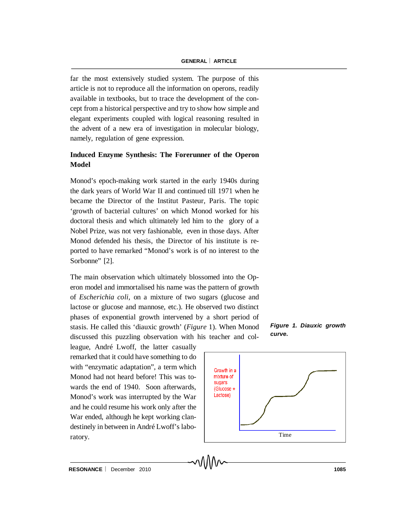far the most extensively studied system. The purpose of this article is not to reproduce all the information on operons, readily available in textbooks, but to trace the development of the concept from a historical perspective and try to show how simple and elegant experiments coupled with logical reasoning resulted in the advent of a new era of investigation in molecular biology, namely, regulation of gene expression.

## **Induced Enzyme Synthesis: The Forerunner of the Operon Model**

Monod's epoch-making work started in the early 1940s during the dark years of World War II and continued till 1971 when he became the Director of the Institut Pasteur, Paris. The topic 'growth of bacterial cultures' on which Monod worked for his doctoral thesis and which ultimately led him to the glory of a Nobel Prize, was not very fashionable, even in those days. After Monod defended his thesis, the Director of his institute is reported to have remarked "Monod's work is of no interest to the Sorbonne" [2].

The main observation which ultimately blossomed into the Operon model and immortalised his name was the pattern of growth of *Escherichia coli,* on a mixture of two sugars (glucose and lactose or glucose and mannose, etc.). He observed two distinct phases of exponential growth intervened by a short period of stasis. He called this 'diauxic growth' (*Figure* 1). When Monod discussed this puzzling observation with his teacher and col-

league, André Lwoff, the latter casually remarked that it could have something to do with "enzymatic adaptation", a term which Monod had not heard before! This was towards the end of 1940. Soon afterwards, Monod's work was interrupted by the War and he could resume his work only after the War ended, although he kept working clandestinely in between in André Lwoff's laboratory.



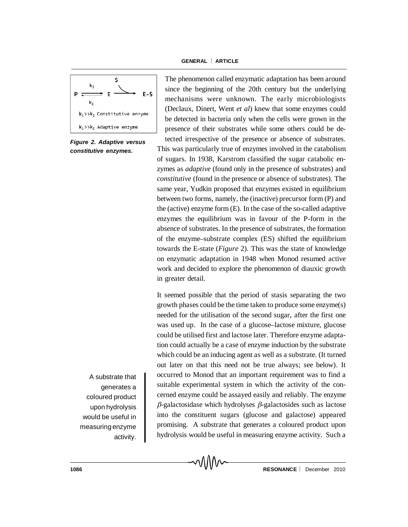



*Figure 2. Adaptive versus constitutive enzymes.*

since the beginning of the 20th century but the underlying mechanisms were unknown. The early microbiologists (Declaux, Dinert, Went *et al*) knew that some enzymes could be detected in bacteria only when the cells were grown in the presence of their substrates while some others could be detected irrespective of the presence or absence of substrates. This was particularly true of enzymes involved in the catabolism

The phenomenon called enzymatic adaptation has been around

of sugars. In 1938, Karstrom classified the sugar catabolic enzymes as *adaptive* (found only in the presence of substrates) and *constitutive* (found in the presence or absence of substrates). The same year, Yudkin proposed that enzymes existed in equilibrium between two forms, namely, the (inactive) precursor form (P) and the (active) enzyme form (E). In the case of the so-called adaptive enzymes the equilibrium was in favour of the P-form in the absence of substrates. In the presence of substrates, the formation of the enzyme–substrate complex (ES) shifted the equilibrium towards the E-state (*Figure* 2). This was the state of knowledge on enzymatic adaptation in 1948 when Monod resumed active work and decided to explore the phenomenon of diauxic growth in greater detail.

It seemed possible that the period of stasis separating the two growth phases could be the time taken to produce some enzyme(s) needed for the utilisation of the second sugar, after the first one was used up. In the case of a glucose–lactose mixture, glucose could be utilised first and lactose later. Therefore enzyme adaptation could actually be a case of enzyme induction by the substrate which could be an inducing agent as well as a substrate. (It turned out later on that this need not be true always; see below). It occurred to Monod that an important requirement was to find a suitable experimental system in which the activity of the concerned enzyme could be assayed easily and reliably. The enzyme  $\beta$ -galactosidase which hydrolyses  $\beta$ -galactosides such as lactose into the constituent sugars (glucose and galactose) appeared promising. A substrate that generates a coloured product upon hydrolysis would be useful in measuring enzyme activity. Such a

A substrate that generates a coloured product upon hydrolysis would be useful in measuring enzyme activity.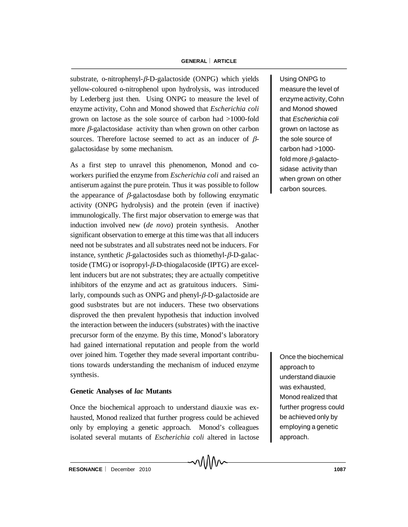substrate, o-nitrophenyl- $\beta$ -D-galactoside (ONPG) which yields yellow-coloured o-nitrophenol upon hydrolysis, was introduced by Lederberg just then. Using ONPG to measure the level of enzyme activity, Cohn and Monod showed that *Escherichia coli* grown on lactose as the sole source of carbon had >1000-fold more  $\beta$ -galactosidase activity than when grown on other carbon sources. Therefore lactose seemed to act as an inducer of  $\beta$ galactosidase by some mechanism.

As a first step to unravel this phenomenon, Monod and coworkers purified the enzyme from *Escherichia coli* and raised an antiserum against the pure protein. Thus it was possible to follow the appearance of  $\beta$ -galactosdase both by following enzymatic activity (ONPG hydrolysis) and the protein (even if inactive) immunologically. The first major observation to emerge was that induction involved new (*de novo*) protein synthesis. Another significant observation to emerge at this time was that all inducers need not be substrates and all substrates need not be inducers. For instance, synthetic  $\beta$ -galactosides such as thiomethyl- $\beta$ -D-galactoside (TMG) or isopropyl- $\beta$ -D-thiogalacoside (IPTG) are excellent inducers but are not substrates; they are actually competitive inhibitors of the enzyme and act as gratuitous inducers. Similarly, compounds such as ONPG and phenyl- $\beta$ -D-galactoside are good susbstrates but are not inducers. These two observations disproved the then prevalent hypothesis that induction involved the interaction between the inducers (substrates) with the inactive precursor form of the enzyme. By this time, Monod's laboratory had gained international reputation and people from the world over joined him. Together they made several important contributions towards understanding the mechanism of induced enzyme synthesis.

## **Genetic Analyses of** *lac* **Mutants**

Once the biochemical approach to understand diauxie was exhausted, Monod realized that further progress could be achieved only by employing a genetic approach. Monod's colleagues isolated several mutants of *Escherichia coli* altered in lactose

MMN

Using ONPG to measure the level of enzymeactivity, Cohn and Monod showed that *Escherichia coli* grown on lactose as the sole source of carbon had >1000 fold more  $\beta$ -galactosidase activity than when grown on other carbon sources.

Once the biochemical approach to understand diauxie was exhausted, Monod realized that further progress could be achieved only by employing a genetic approach.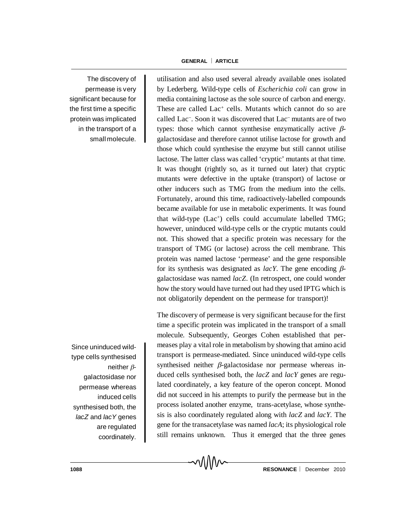#### **GENERAL ARTICLE**

The discovery of permease is very significant because for the first time a specific protein was implicated in the transport of a small molecule.

Since uninduced wildtype cells synthesised neither  $\beta$ galactosidase nor permease whereas induced cells synthesised both, the *lacZ* and *lacY* genes are regulated coordinately.

utilisation and also used several already available ones isolated by Lederberg. Wild-type cells of *Escherichia coli* can grow in media containing lactose as the sole source of carbon and energy. These are called Lac<sup>+</sup> cells. Mutants which cannot do so are called Lac– . Soon it was discovered that Lac– mutants are of two types: those which cannot synthesise enzymatically active  $\beta$ galactosidase and therefore cannot utilise lactose for growth and those which could synthesise the enzyme but still cannot utilise lactose. The latter class was called 'cryptic' mutants at that time. It was thought (rightly so, as it turned out later) that cryptic mutants were defective in the uptake (transport) of lactose or other inducers such as TMG from the medium into the cells. Fortunately, around this time, radioactively-labelled compounds became available for use in metabolic experiments. It was found that wild-type (Lac<sup>+</sup> ) cells could accumulate labelled TMG; however, uninduced wild-type cells or the cryptic mutants could not. This showed that a specific protein was necessary for the transport of TMG (or lactose) across the cell membrane. This protein was named lactose 'permease' and the gene responsible for its synthesis was designated as *lacY*. The gene encoding  $\beta$ galactosidase was named *lacZ*. (In retrospect, one could wonder how the story would have turned out had they used IPTG which is not obligatorily dependent on the permease for transport)!

The discovery of permease is very significant because for the first time a specific protein was implicated in the transport of a small molecule. Subsequently, Georges Cohen established that permeases play a vital role in metabolism by showing that amino acid transport is permease-mediated. Since uninduced wild-type cells synthesised neither  $\beta$ -galactosidase nor permease whereas induced cells synthesised both, the *lacZ* and *lacY* genes are regulated coordinately, a key feature of the operon concept. Monod did not succeed in his attempts to purify the permease but in the process isolated another enzyme, trans-acetylase, whose synthesis is also coordinately regulated along with *lacZ* and *lacY.* The gene for the transacetylase was named *lacA*; its physiological role still remains unknown. Thus it emerged that the three genes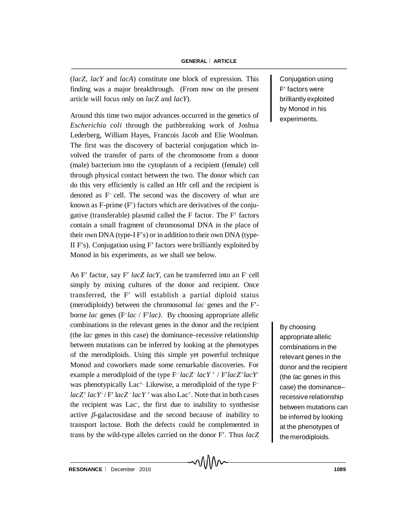(*lacZ, lacY* and *lacA*) constitute one block of expression. This finding was a major breakthrough. (From now on the present article will focus only on *lacZ* and *lacY*).

Around this time two major advances occurred in the genetics of *Escherichia coli* through the pathbreaking work of Joshua Lederberg, William Hayes, Francois Jacob and Elie Woolman. The first was the discovery of bacterial conjugation which involved the transfer of parts of the chromosome from a donor (male) bacterium into the cytoplasm of a recipient (female) cell through physical contact between the two. The donor which can do this very efficiently is called an Hfr cell and the recipient is denoted as F– cell. The second was the discovery of what are known as  $F$ -prime  $(F')$  factors which are derivatives of the conjugative (transferable) plasmid called the  $F$  factor. The  $F'$  factors contain a small fragment of chromosomal DNA in the place of their own DNA (type-I  $F$ 's) or in addition to their own DNA (type-II F's). Conjugation using F' factors were brilliantly exploited by Monod in his experiments, as we shall see below.

An F' factor, say F' *lacZ lacY*, can be transferred into an F cell simply by mixing cultures of the donor and recipient. Once transferred, the F' will establish a partial diploid status (merodiploidy) between the chromosomal *lac* genes and the F borne *lac* genes (F– *lac* / F*lac).* By choosing appropriate allelic combinations in the relevant genes in the donor and the recipient (the *lac* genes in this case) the dominance–recessive relationship between mutations can be inferred by looking at the phenotypes of the merodiploids. Using this simple yet powerful technique Monod and coworkers made some remarkable discoveries. For example a merodiploid of the type  $F^-$ *lacZ<sup>+</sup>* lacY<sup>+</sup> /  $F'$ *lacZ<sup>+</sup>lacY<sup>-</sup>* was phenotypically Lac<sup>+.</sup> Likewise, a merodiploid of the type F<sup>-</sup>  $lacZ^{+}$  *lacY*  $\div$   $\Gamma'$  *lacZ*  $\pi$  *lacY*  $\div$  was also Lac<sup> $\div$ </sup>. Note that in both cases the recipient was Lac- , the first due to inability to synthesise active  $\beta$ -galactosidase and the second because of inability to transport lactose. Both the defects could be complemented in trans by the wild-type alleles carried on the donor F. Thus *lacZ*

Conjugation using F' factors were brilliantly exploited by Monod in his experiments.

By choosing appropriateallelic combinations in the relevant genes in the donor and the recipient (the *lac* genes in this case) the dominance– recessive relationship between mutations can be inferred by looking at the phenotypes of the merodiploids.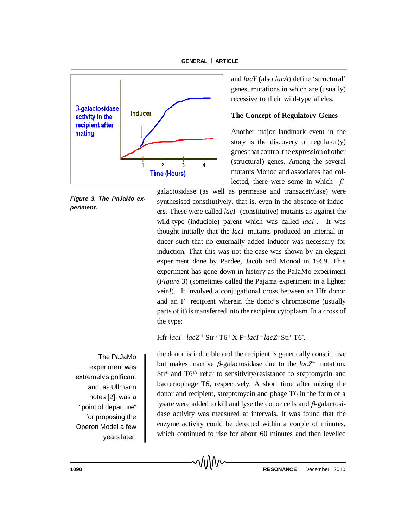



*Figure 3. The PaJaMo experiment.*

and *lacY* (also *lacA*) define 'structural' genes, mutations in which are (usually) recessive to their wild-type alleles.

## **The Concept of Regulatory Genes**

Another major landmark event in the story is the discovery of regulator $(y)$ genes that control the expression of other (structural) genes. Among the several mutants Monod and associates had collected, there were some in which  $\beta$ -

galactosidase (as well as permease and transacetylase) were synthesised constitutively, that is, even in the absence of inducers. These were called *lacI*– (constitutive) mutants as against the wild-type (inducible) parent which was called *lacI*<sup>+</sup> . It was thought initially that the *lacI–* mutants produced an internal inducer such that no externally added inducer was necessary for induction. That this was not the case was shown by an elegant experiment done by Pardee, Jacob and Monod in 1959. This experiment has gone down in history as the PaJaMo experiment (*Figure* 3) (sometimes called the Pajama experiment in a lighter vein!). It involved a conjugational cross between an Hfr donor and an F– recipient wherein the donor's chromosome (usually parts of it) is transferred into the recipient cytoplasm. In a cross of the type:

Hfr *lacI*<sup>+</sup> *lacZ*<sup>+</sup> Str<sup>s</sup> T6<sup>s</sup> X<sup>F-</sup> *lacI*<sup>-</sup> *lacZ*<sup>-</sup> Str<sup>r</sup> T6<sup>r</sup>,

The PaJaMo experiment was extremely significant and, as Ullmann notes [2], was a "point of departure" for proposing the Operon Model a few years later.

the donor is inducible and the recipient is genetically constitutive but makes inactive  $\beta$ -galactosidase due to the *lacZ*– mutation.  $Str<sup>sr</sup>$  and  $T6<sup>s/r</sup>$  refer to sensitivity/resistance to sreptomycin and bacteriophage T6, respectively. A short time after mixing the donor and recipient, streptomycin and phage T6 in the form of a lysate were added to kill and lyse the donor cells and  $\beta$ -galactosidase activity was measured at intervals. It was found that the enzyme activity could be detected within a couple of minutes, which continued to rise for about 60 minutes and then levelled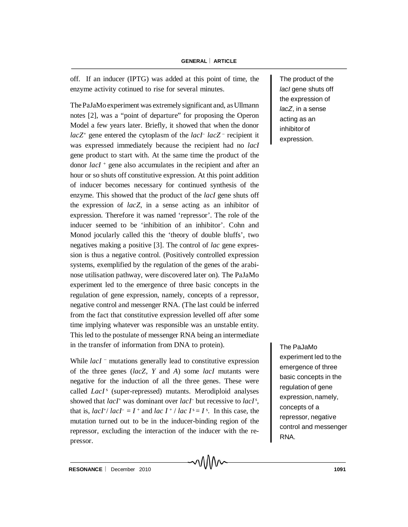off. If an inducer (IPTG) was added at this point of time, the enzyme activity cotinued to rise for several minutes.

The PaJaMo experiment was extremely significant and, as Ullmann notes [2], was a "point of departure" for proposing the Operon Model a few years later. Briefly, it showed that when the donor  $lacZ^{+}$  gene entered the cytoplasm of the  $lacT^{-}lacZ^{-}$  recipient it was expressed immediately because the recipient had no *lacI* gene product to start with. At the same time the product of the donor *lacI* <sup>+</sup> gene also accumulates in the recipient and after an hour or so shuts off constitutive expression. At this point addition of inducer becomes necessary for continued synthesis of the enzyme. This showed that the product of the *lacI* gene shuts off the expression of *lacZ*, in a sense acting as an inhibitor of expression. Therefore it was named 'repressor'. The role of the inducer seemed to be 'inhibition of an inhibitor'. Cohn and Monod jocularly called this the 'theory of double bluffs', two negatives making a positive [3]. The control of *lac* gene expression is thus a negative control. (Positively controlled expression systems, exemplified by the regulation of the genes of the arabinose utilisation pathway, were discovered later on). The PaJaMo experiment led to the emergence of three basic concepts in the regulation of gene expression, namely, concepts of a repressor, negative control and messenger RNA. (The last could be inferred from the fact that constitutive expression levelled off after some time implying whatever was responsible was an unstable entity. This led to the postulate of messenger RNA being an intermediate in the transfer of information from DNA to protein).

While *lacI* – mutations generally lead to constitutive expression of the three genes (*lacZ, Y* and *A*) some *lacI* mutants were negative for the induction of all the three genes. These were called *LacI*<sup>s</sup> (super-repressed) mutants. Merodiploid analyses showed that *lacI*<sup>+</sup> was dominant over *lacI*<sup>-</sup> but recessive to *lacI*<sup>s</sup>, that is,  $lacI^{+}/lacI^{-} = I^{+}$  and  $lac I^{+}/lac I^{s} = I^{s}$ . In this case, the mutation turned out to be in the inducer-binding region of the repressor, excluding the interaction of the inducer with the repressor.

√∖∖∨∿

The product of the *lacI* gene shuts off the expression of *lacZ*, in a sense acting as an inhibitor of expression.

#### The PaJaMo

experiment led to the emergence of three basic concepts in the regulation of gene expression, namely, concepts of a repressor, negative control and messenger RNA.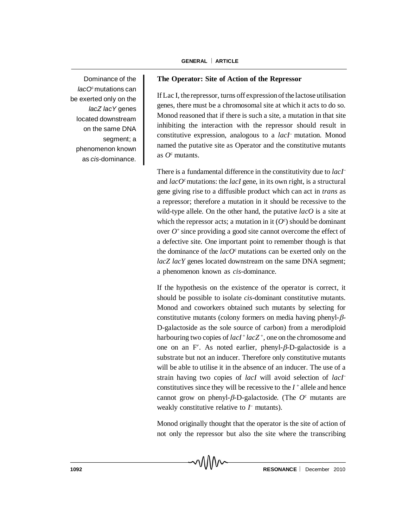Dominance of the *lacO<sup>c</sup>* mutations can be exerted only on the *lacZ lacY* genes located downstream on the same DNA segment; a phenomenon known as *cis*-dominance.

## **The Operator: Site of Action of the Repressor**

If Lac I, the repressor, turns off expression of the lactose utilisation genes, there must be a chromosomal site at which it acts to do so. Monod reasoned that if there is such a site, a mutation in that site inhibiting the interaction with the repressor should result in constitutive expression, analogous to a *lacI*– mutation. Monod named the putative site as Operator and the constitutive mutants as *O*<sup>c</sup> mutants.

There is a fundamental difference in the constitutivity due to *lacI–* and  $lacO<sup>c</sup>$  mutations: the *lacI* gene, in its own right, is a structural gene giving rise to a diffusible product which can act in *trans* as a repressor; therefore a mutation in it should be recessive to the wild-type allele. On the other hand, the putative *lacO* is a site at which the repressor acts; a mutation in it  $(O<sup>c</sup>)$  should be dominant over  $O<sup>+</sup>$  since providing a good site cannot overcome the effect of a defective site. One important point to remember though is that the dominance of the  $lacO<sup>c</sup>$  mutations can be exerted only on the *lacZ lacY* genes located downstream on the same DNA segment; a phenomenon known as *cis*-dominance.

If the hypothesis on the existence of the operator is correct, it should be possible to isolate *cis*-dominant constitutive mutants. Monod and coworkers obtained such mutants by selecting for constitutive mutants (colony formers on media having phenyl- $\beta$ -D-galactoside as the sole source of carbon) from a merodiploid harbouring two copies of *lacI*<sup>+</sup> *lacZ*<sup>+</sup>, one on the chromosome and one on an F'. As noted earlier, phenyl- $\beta$ -D-galactoside is a substrate but not an inducer. Therefore only constitutive mutants will be able to utilise it in the absence of an inducer. The use of a strain having two copies of *lacI* will avoid selection of *lacI*– constitutives since they will be recessive to the  $I^+$  allele and hence cannot grow on phenyl- $\beta$ -D-galactoside. (The  $O<sup>c</sup>$  mutants are weakly constitutive relative to  *mutants).* 

Monod originally thought that the operator is the site of action of not only the repressor but also the site where the transcribing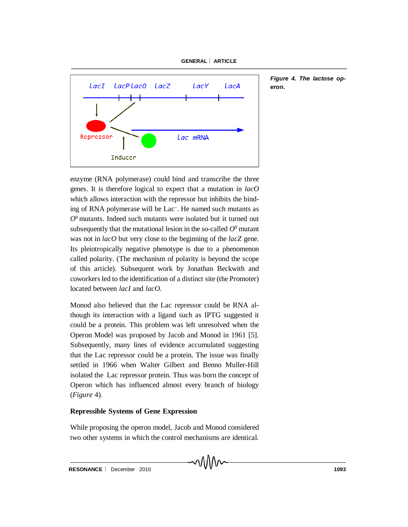



*Figure 4. The lactose op-*

enzyme (RNA polymerase) could bind and transcribe the three genes. It is therefore logical to expect that a mutation in *lacO* which allows interaction with the repressor but inhibits the binding of RNA polymerase will be Lac– . He named such mutants as *O*<sup>0</sup> mutants. Indeed such mutants were isolated but it turned out subsequently that the mutational lesion in the so-called  $O^0$  mutant was not in *lacO* but very close to the beginning of the *lacZ* gene. Its pleiotropically negative phenotype is due to a phenomenon called polarity. (The mechanism of polarity is beyond the scope of this article). Subsequent work by Jonathan Beckwith and coworkers led to the identification of a distinct site (the Promoter) located between *lacI* and *lacO.*

Monod also believed that the Lac repressor could be RNA although its interaction with a ligand such as IPTG suggested it could be a protein. This problem was left unresolved when the Operon Model was proposed by Jacob and Monod in 1961 [5]. Subsequently, many lines of evidence accumulated suggesting that the Lac repressor could be a protein. The issue was finally settled in 1966 when Walter Gilbert and Benno Muller-Hill isolated the Lac repressor protein. Thus was born the concept of Operon which has influenced almost every branch of biology (*Figure* 4).

## **Repressible Systems of Gene Expression**

While proposing the operon model, Jacob and Monod considered two other systems in which the control mechanisms are identical.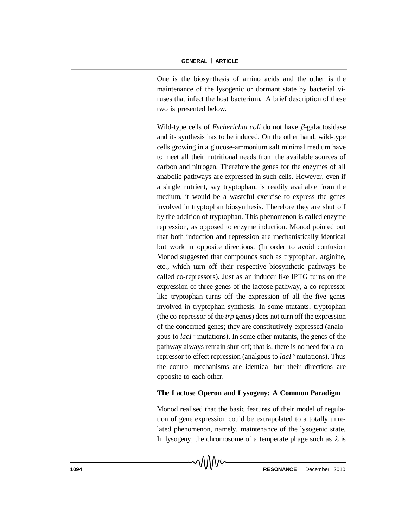One is the biosynthesis of amino acids and the other is the maintenance of the lysogenic or dormant state by bacterial viruses that infect the host bacterium. A brief description of these two is presented below.

Wild-type cells of *Escherichia coli* do not have  $\beta$ -galactosidase and its synthesis has to be induced. On the other hand, wild-type cells growing in a glucose-ammonium salt minimal medium have to meet all their nutritional needs from the available sources of carbon and nitrogen. Therefore the genes for the enzymes of all anabolic pathways are expressed in such cells. However, even if a single nutrient, say tryptophan, is readily available from the medium, it would be a wasteful exercise to express the genes involved in tryptophan biosynthesis. Therefore they are shut off by the addition of tryptophan. This phenomenon is called enzyme repression, as opposed to enzyme induction. Monod pointed out that both induction and repression are mechanistically identical but work in opposite directions. (In order to avoid confusion Monod suggested that compounds such as tryptophan, arginine, etc., which turn off their respective biosynthetic pathways be called co-repressors). Just as an inducer like IPTG turns on the expression of three genes of the lactose pathway, a co-repressor like tryptophan turns off the expression of all the five genes involved in tryptophan synthesis. In some mutants, tryptophan (the co-repressor of the *trp* genes) does not turn off the expression of the concerned genes; they are constitutively expressed (analogous to *lacI* – mutations). In some other mutants, the genes of the pathway always remain shut off; that is, there is no need for a corepressor to effect repression (analgous to *lacI* <sup>s</sup> mutations). Thus the control mechanisms are identical bur their directions are opposite to each other.

## **The Lactose Operon and Lysogeny: A Common Paradigm**

Monod realised that the basic features of their model of regulation of gene expression could be extrapolated to a totally unrelated phenomenon, namely, maintenance of the lysogenic state. In lysogeny, the chromosome of a temperate phage such as  $\lambda$  is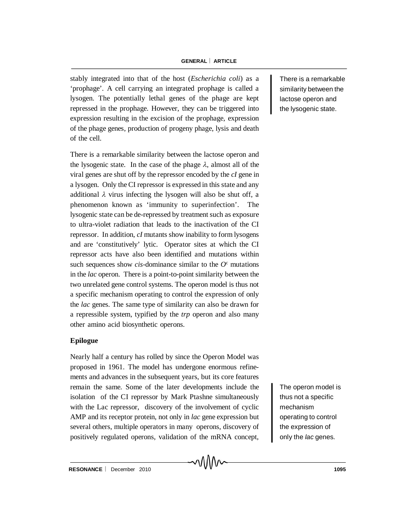stably integrated into that of the host (*Escherichia coli*) as a 'prophage'. A cell carrying an integrated prophage is called a lysogen. The potentially lethal genes of the phage are kept repressed in the prophage. However, they can be triggered into expression resulting in the excision of the prophage, expression of the phage genes, production of progeny phage, lysis and death of the cell.

There is a remarkable similarity between the lactose operon and the lysogenic state. In the case of the phage  $\lambda$ , almost all of the viral genes are shut off by the repressor encoded by the *cI* gene in a lysogen. Only the CI repressor is expressed in this state and any additional  $\lambda$  virus infecting the lysogen will also be shut off, a phenomenon known as 'immunity to superinfection'. The lysogenic state can be de-repressed by treatment such as exposure to ultra-violet radiation that leads to the inactivation of the CI repressor. In addition, *cI* mutants show inability to form lysogens and are 'constitutively' lytic. Operator sites at which the CI repressor acts have also been identified and mutations within such sequences show *cis*-dominance similar to the  $O<sup>c</sup>$  mutations in the *lac* operon. There is a point-to-point similarity between the two unrelated gene control systems. The operon model is thus not a specific mechanism operating to control the expression of only the *lac* genes. The same type of similarity can also be drawn for a repressible system, typified by the *trp* operon and also many other amino acid biosynthetic operons.

# **Epilogue**

Nearly half a century has rolled by since the Operon Model was proposed in 1961. The model has undergone enormous refinements and advances in the subsequent years, but its core features remain the same. Some of the later developments include the isolation of the CI repressor by Mark Ptashne simultaneously with the Lac repressor, discovery of the involvement of cyclic AMP and its receptor protein, not only in *lac* gene expression but several others, multiple operators in many operons, discovery of positively regulated operons, validation of the mRNA concept,

MM

There is a remarkable similarity between the lactose operon and the lysogenic state.

The operon model is thus not a specific mechanism operating to control the expression of only the *lac* genes.